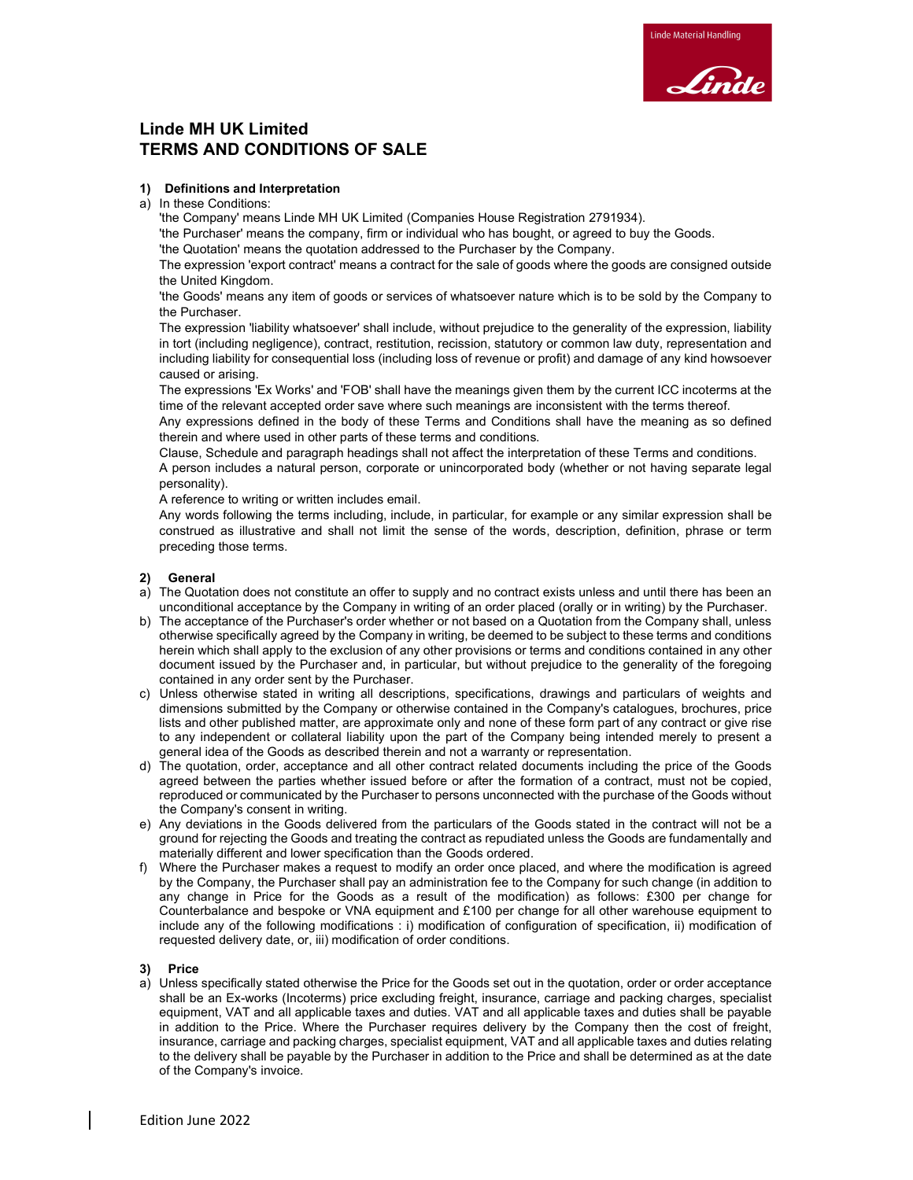# Linde MH UK Limited TERMS AND CONDITIONS OF SALE

# 1) Definitions and Interpretation

a) In these Conditions:

'the Company' means Linde MH UK Limited (Companies House Registration 2791934).

'the Purchaser' means the company, firm or individual who has bought, or agreed to buy the Goods.

'the Quotation' means the quotation addressed to the Purchaser by the Company.

The expression 'export contract' means a contract for the sale of goods where the goods are consigned outside the United Kingdom.

'the Goods' means any item of goods or services of whatsoever nature which is to be sold by the Company to the Purchaser.

The expression 'liability whatsoever' shall include, without prejudice to the generality of the expression, liability in tort (including negligence), contract, restitution, recission, statutory or common law duty, representation and including liability for consequential loss (including loss of revenue or profit) and damage of any kind howsoever caused or arising.

The expressions 'Ex Works' and 'FOB' shall have the meanings given them by the current ICC incoterms at the time of the relevant accepted order save where such meanings are inconsistent with the terms thereof.

Any expressions defined in the body of these Terms and Conditions shall have the meaning as so defined therein and where used in other parts of these terms and conditions.

Clause, Schedule and paragraph headings shall not affect the interpretation of these Terms and conditions. A person includes a natural person, corporate or unincorporated body (whether or not having separate legal personality).

A reference to writing or written includes email.

Any words following the terms including, include, in particular, for example or any similar expression shall be construed as illustrative and shall not limit the sense of the words, description, definition, phrase or term preceding those terms.

# 2) General

- a) The Quotation does not constitute an offer to supply and no contract exists unless and until there has been an unconditional acceptance by the Company in writing of an order placed (orally or in writing) by the Purchaser.
- b) The acceptance of the Purchaser's order whether or not based on a Quotation from the Company shall, unless otherwise specifically agreed by the Company in writing, be deemed to be subject to these terms and conditions herein which shall apply to the exclusion of any other provisions or terms and conditions contained in any other document issued by the Purchaser and, in particular, but without prejudice to the generality of the foregoing contained in any order sent by the Purchaser.
- c) Unless otherwise stated in writing all descriptions, specifications, drawings and particulars of weights and dimensions submitted by the Company or otherwise contained in the Company's catalogues, brochures, price lists and other published matter, are approximate only and none of these form part of any contract or give rise to any independent or collateral liability upon the part of the Company being intended merely to present a general idea of the Goods as described therein and not a warranty or representation.
- d) The quotation, order, acceptance and all other contract related documents including the price of the Goods agreed between the parties whether issued before or after the formation of a contract, must not be copied, reproduced or communicated by the Purchaser to persons unconnected with the purchase of the Goods without the Company's consent in writing.
- e) Any deviations in the Goods delivered from the particulars of the Goods stated in the contract will not be a ground for rejecting the Goods and treating the contract as repudiated unless the Goods are fundamentally and materially different and lower specification than the Goods ordered.
- f) Where the Purchaser makes a request to modify an order once placed, and where the modification is agreed by the Company, the Purchaser shall pay an administration fee to the Company for such change (in addition to any change in Price for the Goods as a result of the modification) as follows: £300 per change for Counterbalance and bespoke or VNA equipment and £100 per change for all other warehouse equipment to include any of the following modifications : i) modification of configuration of specification, ii) modification of requested delivery date, or, iii) modification of order conditions.

# 3) Price

a) Unless specifically stated otherwise the Price for the Goods set out in the quotation, order or order acceptance shall be an Ex-works (Incoterms) price excluding freight, insurance, carriage and packing charges, specialist equipment, VAT and all applicable taxes and duties. VAT and all applicable taxes and duties shall be payable in addition to the Price. Where the Purchaser requires delivery by the Company then the cost of freight, insurance, carriage and packing charges, specialist equipment, VAT and all applicable taxes and duties relating to the delivery shall be payable by the Purchaser in addition to the Price and shall be determined as at the date of the Company's invoice.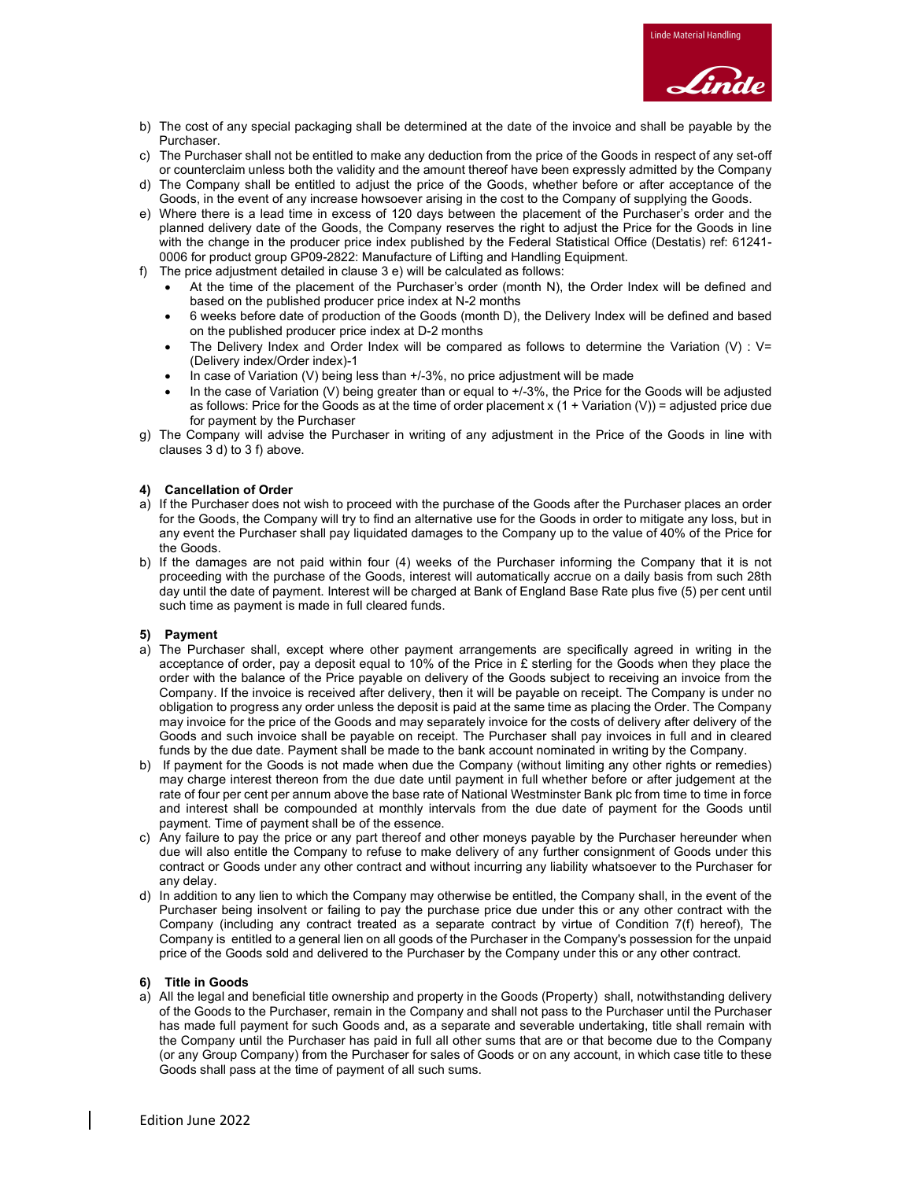

- b) The cost of any special packaging shall be determined at the date of the invoice and shall be payable by the Purchaser.
- c) The Purchaser shall not be entitled to make any deduction from the price of the Goods in respect of any set-off or counterclaim unless both the validity and the amount thereof have been expressly admitted by the Company
- d) The Company shall be entitled to adjust the price of the Goods, whether before or after acceptance of the Goods, in the event of any increase howsoever arising in the cost to the Company of supplying the Goods.
- e) Where there is a lead time in excess of 120 days between the placement of the Purchaser's order and the planned delivery date of the Goods, the Company reserves the right to adjust the Price for the Goods in line with the change in the producer price index published by the Federal Statistical Office (Destatis) ref: 61241- 0006 for product group GP09-2822: Manufacture of Lifting and Handling Equipment.
- f) The price adjustment detailed in clause 3 e) will be calculated as follows:
	- At the time of the placement of the Purchaser's order (month N), the Order Index will be defined and based on the published producer price index at N-2 months
	- 6 weeks before date of production of the Goods (month D), the Delivery Index will be defined and based on the published producer price index at D-2 months
	- The Delivery Index and Order Index will be compared as follows to determine the Variation (V) :  $V=$ (Delivery index/Order index)-1
	- In case of Variation (V) being less than +/-3%, no price adjustment will be made
	- In the case of Variation (V) being greater than or equal to +/-3%, the Price for the Goods will be adjusted as follows: Price for the Goods as at the time of order placement x (1 + Variation (V)) = adjusted price due for payment by the Purchaser
- g) The Company will advise the Purchaser in writing of any adjustment in the Price of the Goods in line with clauses  $3$  d) to  $3$  f) above.

## 4) Cancellation of Order

- a) If the Purchaser does not wish to proceed with the purchase of the Goods after the Purchaser places an order for the Goods, the Company will try to find an alternative use for the Goods in order to mitigate any loss, but in any event the Purchaser shall pay liquidated damages to the Company up to the value of 40% of the Price for the Goods.
- b) If the damages are not paid within four (4) weeks of the Purchaser informing the Company that it is not proceeding with the purchase of the Goods, interest will automatically accrue on a daily basis from such 28th day until the date of payment. Interest will be charged at Bank of England Base Rate plus five (5) per cent until such time as payment is made in full cleared funds.

# 5) Payment

- a) The Purchaser shall, except where other payment arrangements are specifically agreed in writing in the acceptance of order, pay a deposit equal to 10% of the Price in £ sterling for the Goods when they place the order with the balance of the Price payable on delivery of the Goods subject to receiving an invoice from the Company. If the invoice is received after delivery, then it will be payable on receipt. The Company is under no obligation to progress any order unless the deposit is paid at the same time as placing the Order. The Company may invoice for the price of the Goods and may separately invoice for the costs of delivery after delivery of the Goods and such invoice shall be payable on receipt. The Purchaser shall pay invoices in full and in cleared funds by the due date. Payment shall be made to the bank account nominated in writing by the Company.
- b) If payment for the Goods is not made when due the Company (without limiting any other rights or remedies) may charge interest thereon from the due date until payment in full whether before or after judgement at the rate of four per cent per annum above the base rate of National Westminster Bank plc from time to time in force and interest shall be compounded at monthly intervals from the due date of payment for the Goods until payment. Time of payment shall be of the essence.
- c) Any failure to pay the price or any part thereof and other moneys payable by the Purchaser hereunder when due will also entitle the Company to refuse to make delivery of any further consignment of Goods under this contract or Goods under any other contract and without incurring any liability whatsoever to the Purchaser for any delay.
- d) In addition to any lien to which the Company may otherwise be entitled, the Company shall, in the event of the Purchaser being insolvent or failing to pay the purchase price due under this or any other contract with the Company (including any contract treated as a separate contract by virtue of Condition 7(f) hereof), The Company is entitled to a general lien on all goods of the Purchaser in the Company's possession for the unpaid price of the Goods sold and delivered to the Purchaser by the Company under this or any other contract.

#### 6) Title in Goods

a) All the legal and beneficial title ownership and property in the Goods (Property) shall, notwithstanding delivery of the Goods to the Purchaser, remain in the Company and shall not pass to the Purchaser until the Purchaser has made full payment for such Goods and, as a separate and severable undertaking, title shall remain with the Company until the Purchaser has paid in full all other sums that are or that become due to the Company (or any Group Company) from the Purchaser for sales of Goods or on any account, in which case title to these Goods shall pass at the time of payment of all such sums.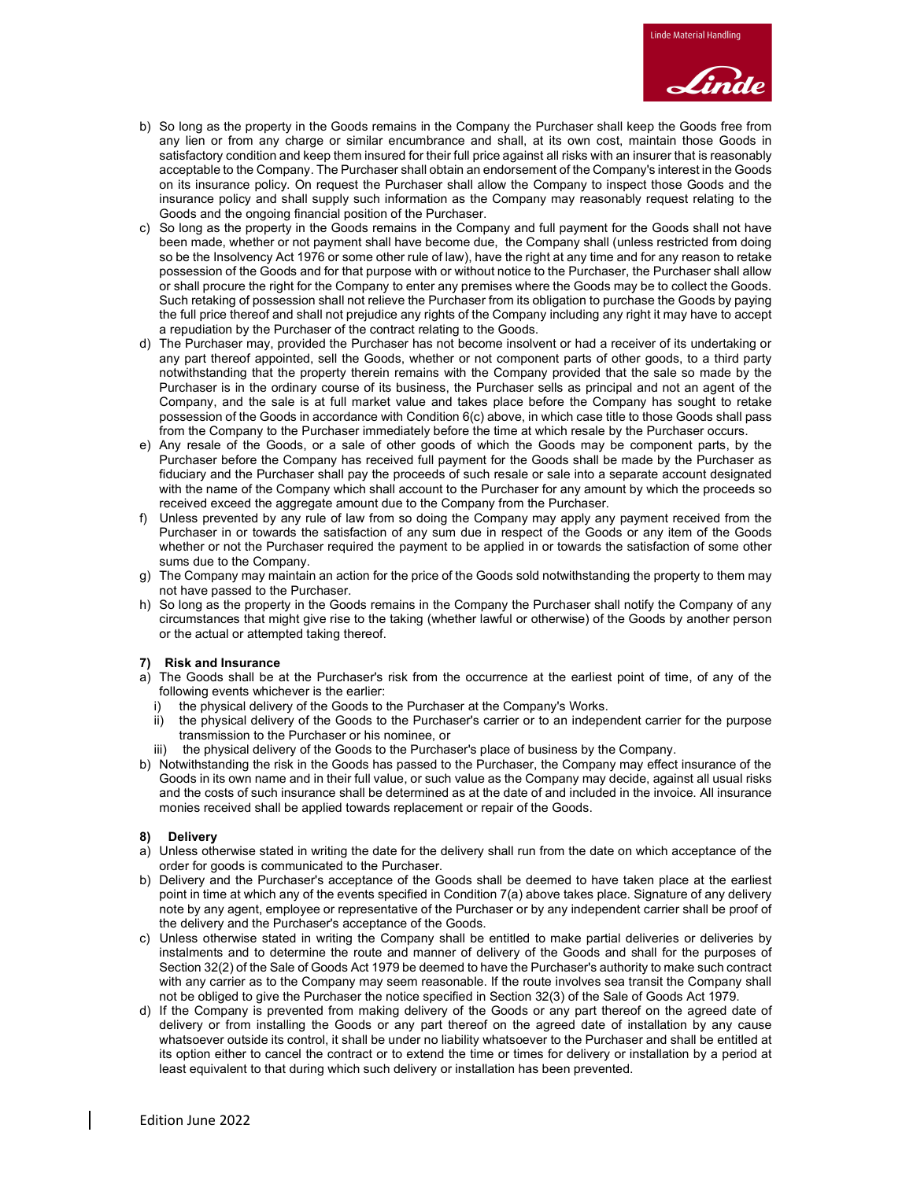- b) So long as the property in the Goods remains in the Company the Purchaser shall keep the Goods free from any lien or from any charge or similar encumbrance and shall, at its own cost, maintain those Goods in satisfactory condition and keep them insured for their full price against all risks with an insurer that is reasonably acceptable to the Company. The Purchaser shall obtain an endorsement of the Company's interest in the Goods on its insurance policy. On request the Purchaser shall allow the Company to inspect those Goods and the insurance policy and shall supply such information as the Company may reasonably request relating to the Goods and the ongoing financial position of the Purchaser.
- c) So long as the property in the Goods remains in the Company and full payment for the Goods shall not have been made, whether or not payment shall have become due, the Company shall (unless restricted from doing so be the Insolvency Act 1976 or some other rule of law), have the right at any time and for any reason to retake possession of the Goods and for that purpose with or without notice to the Purchaser, the Purchaser shall allow or shall procure the right for the Company to enter any premises where the Goods may be to collect the Goods. Such retaking of possession shall not relieve the Purchaser from its obligation to purchase the Goods by paying the full price thereof and shall not prejudice any rights of the Company including any right it may have to accept a repudiation by the Purchaser of the contract relating to the Goods.
- d) The Purchaser may, provided the Purchaser has not become insolvent or had a receiver of its undertaking or any part thereof appointed, sell the Goods, whether or not component parts of other goods, to a third party notwithstanding that the property therein remains with the Company provided that the sale so made by the Purchaser is in the ordinary course of its business, the Purchaser sells as principal and not an agent of the Company, and the sale is at full market value and takes place before the Company has sought to retake possession of the Goods in accordance with Condition 6(c) above, in which case title to those Goods shall pass from the Company to the Purchaser immediately before the time at which resale by the Purchaser occurs.
- e) Any resale of the Goods, or a sale of other goods of which the Goods may be component parts, by the Purchaser before the Company has received full payment for the Goods shall be made by the Purchaser as fiduciary and the Purchaser shall pay the proceeds of such resale or sale into a separate account designated with the name of the Company which shall account to the Purchaser for any amount by which the proceeds so received exceed the aggregate amount due to the Company from the Purchaser.
- f) Unless prevented by any rule of law from so doing the Company may apply any payment received from the Purchaser in or towards the satisfaction of any sum due in respect of the Goods or any item of the Goods whether or not the Purchaser required the payment to be applied in or towards the satisfaction of some other sums due to the Company.
- g) The Company may maintain an action for the price of the Goods sold notwithstanding the property to them may not have passed to the Purchaser.
- h) So long as the property in the Goods remains in the Company the Purchaser shall notify the Company of any circumstances that might give rise to the taking (whether lawful or otherwise) of the Goods by another person or the actual or attempted taking thereof.

# 7) Risk and Insurance

- a) The Goods shall be at the Purchaser's risk from the occurrence at the earliest point of time, of any of the following events whichever is the earlier:
	- i) the physical delivery of the Goods to the Purchaser at the Company's Works.
	- ii) the physical delivery of the Goods to the Purchaser's carrier or to an independent carrier for the purpose transmission to the Purchaser or his nominee, or
	- iii) the physical delivery of the Goods to the Purchaser's place of business by the Company.
- b) Notwithstanding the risk in the Goods has passed to the Purchaser, the Company may effect insurance of the Goods in its own name and in their full value, or such value as the Company may decide, against all usual risks and the costs of such insurance shall be determined as at the date of and included in the invoice. All insurance monies received shall be applied towards replacement or repair of the Goods.

# 8) Delivery

- a) Unless otherwise stated in writing the date for the delivery shall run from the date on which acceptance of the order for goods is communicated to the Purchaser.
- b) Delivery and the Purchaser's acceptance of the Goods shall be deemed to have taken place at the earliest point in time at which any of the events specified in Condition 7(a) above takes place. Signature of any delivery note by any agent, employee or representative of the Purchaser or by any independent carrier shall be proof of the delivery and the Purchaser's acceptance of the Goods.
- c) Unless otherwise stated in writing the Company shall be entitled to make partial deliveries or deliveries by instalments and to determine the route and manner of delivery of the Goods and shall for the purposes of Section 32(2) of the Sale of Goods Act 1979 be deemed to have the Purchaser's authority to make such contract with any carrier as to the Company may seem reasonable. If the route involves sea transit the Company shall not be obliged to give the Purchaser the notice specified in Section 32(3) of the Sale of Goods Act 1979.
- d) If the Company is prevented from making delivery of the Goods or any part thereof on the agreed date of delivery or from installing the Goods or any part thereof on the agreed date of installation by any cause whatsoever outside its control, it shall be under no liability whatsoever to the Purchaser and shall be entitled at its option either to cancel the contract or to extend the time or times for delivery or installation by a period at least equivalent to that during which such delivery or installation has been prevented.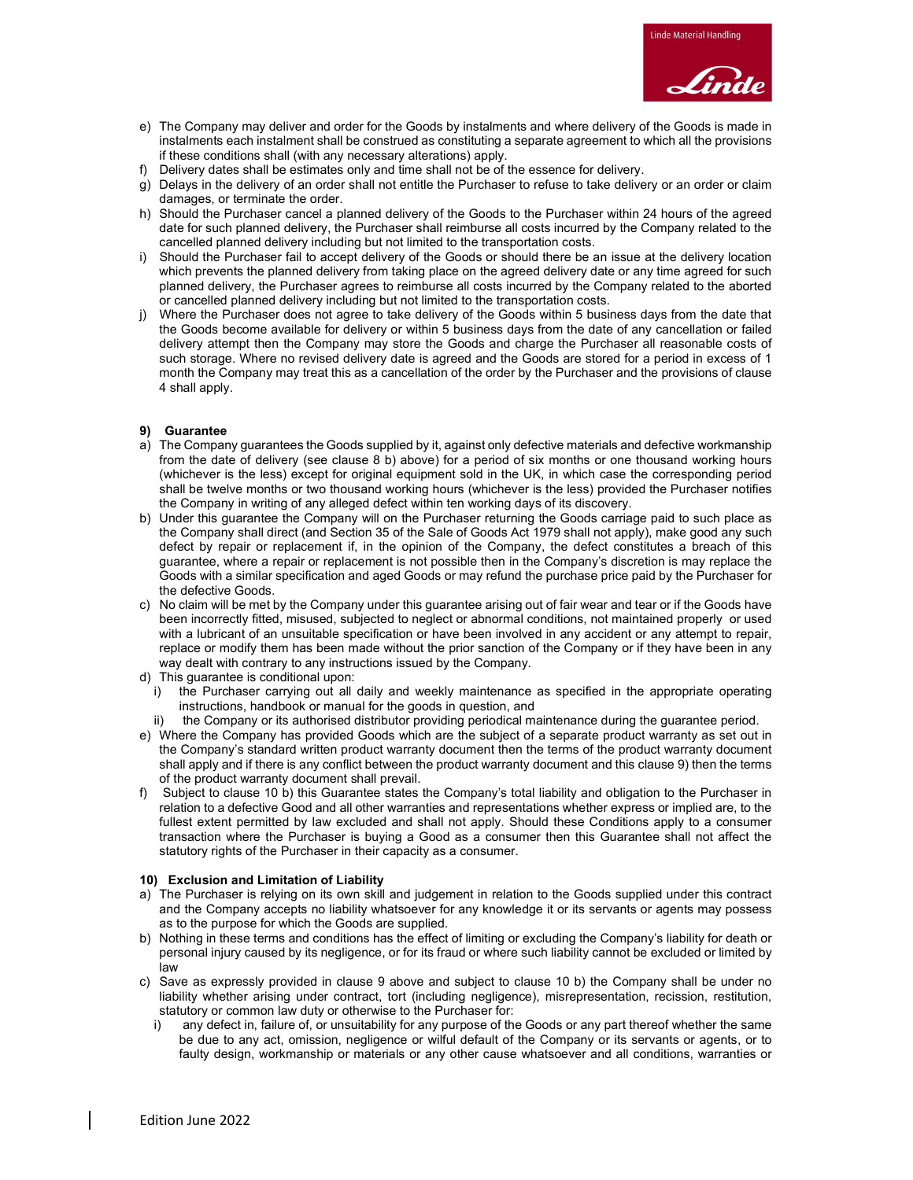

- e) The Company may deliver and order for the Goods by instalments and where delivery of the Goods is made in instalments each instalment shall be construed as constituting a separate agreement to which all the provisions if these conditions shall (with any necessary alterations) apply.
- f) Delivery dates shall be estimates only and time shall not be of the essence for delivery.
- g) Delays in the delivery of an order shall not entitle the Purchaser to refuse to take delivery or an order or claim damages, or terminate the order.
- h) Should the Purchaser cancel a planned delivery of the Goods to the Purchaser within 24 hours of the agreed date for such planned delivery, the Purchaser shall reimburse all costs incurred by the Company related to the cancelled planned delivery including but not limited to the transportation costs.
- i) Should the Purchaser fail to accept delivery of the Goods or should there be an issue at the delivery location which prevents the planned delivery from taking place on the agreed delivery date or any time agreed for such planned delivery, the Purchaser agrees to reimburse all costs incurred by the Company related to the aborted or cancelled planned delivery including but not limited to the transportation costs.
- j) Where the Purchaser does not agree to take delivery of the Goods within 5 business days from the date that the Goods become available for delivery or within 5 business days from the date of any cancellation or failed delivery attempt then the Company may store the Goods and charge the Purchaser all reasonable costs of such storage. Where no revised delivery date is agreed and the Goods are stored for a period in excess of 1 month the Company may treat this as a cancellation of the order by the Purchaser and the provisions of clause 4 shall apply.

#### 9) Guarantee

- a) The Company guarantees the Goods supplied by it, against only defective materials and defective workmanship from the date of delivery (see clause 8 b) above) for a period of six months or one thousand working hours (whichever is the less) except for original equipment sold in the UK, in which case the corresponding period shall be twelve months or two thousand working hours (whichever is the less) provided the Purchaser notifies the Company in writing of any alleged defect within ten working days of its discovery.
- b) Under this guarantee the Company will on the Purchaser returning the Goods carriage paid to such place as the Company shall direct (and Section 35 of the Sale of Goods Act 1979 shall not apply), make good any such defect by repair or replacement if, in the opinion of the Company, the defect constitutes a breach of this guarantee, where a repair or replacement is not possible then in the Company's discretion is may replace the Goods with a similar specification and aged Goods or may refund the purchase price paid by the Purchaser for the defective Goods.
- c) No claim will be met by the Company under this guarantee arising out of fair wear and tear or if the Goods have been incorrectly fitted, misused, subjected to neglect or abnormal conditions, not maintained properly or used with a lubricant of an unsuitable specification or have been involved in any accident or any attempt to repair, replace or modify them has been made without the prior sanction of the Company or if they have been in any way dealt with contrary to any instructions issued by the Company.
- d) This guarantee is conditional upon:
	- i) the Purchaser carrying out all daily and weekly maintenance as specified in the appropriate operating instructions, handbook or manual for the goods in question, and
- the Company or its authorised distributor providing periodical maintenance during the guarantee period.
- e) Where the Company has provided Goods which are the subject of a separate product warranty as set out in the Company's standard written product warranty document then the terms of the product warranty document shall apply and if there is any conflict between the product warranty document and this clause 9) then the terms of the product warranty document shall prevail.
- f) Subject to clause 10 b) this Guarantee states the Company's total liability and obligation to the Purchaser in relation to a defective Good and all other warranties and representations whether express or implied are, to the fullest extent permitted by law excluded and shall not apply. Should these Conditions apply to a consumer transaction where the Purchaser is buying a Good as a consumer then this Guarantee shall not affect the statutory rights of the Purchaser in their capacity as a consumer.

#### 10) Exclusion and Limitation of Liability

- a) The Purchaser is relying on its own skill and judgement in relation to the Goods supplied under this contract and the Company accepts no liability whatsoever for any knowledge it or its servants or agents may possess as to the purpose for which the Goods are supplied.
- b) Nothing in these terms and conditions has the effect of limiting or excluding the Company's liability for death or personal injury caused by its negligence, or for its fraud or where such liability cannot be excluded or limited by law
- c) Save as expressly provided in clause 9 above and subject to clause 10 b) the Company shall be under no liability whether arising under contract, tort (including negligence), misrepresentation, recission, restitution, statutory or common law duty or otherwise to the Purchaser for:
	- i) any defect in, failure of, or unsuitability for any purpose of the Goods or any part thereof whether the same be due to any act, omission, negligence or wilful default of the Company or its servants or agents, or to faulty design, workmanship or materials or any other cause whatsoever and all conditions, warranties or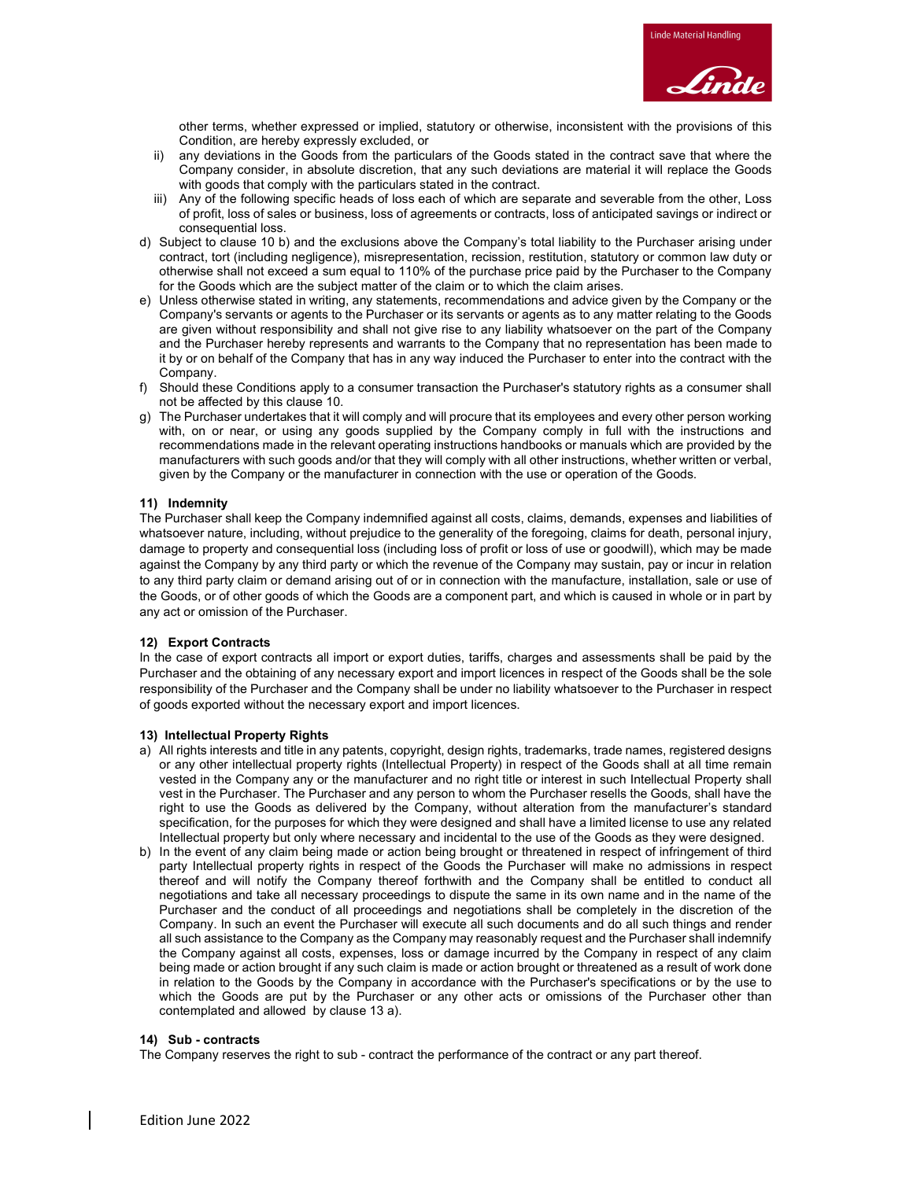

other terms, whether expressed or implied, statutory or otherwise, inconsistent with the provisions of this Condition, are hereby expressly excluded, or

- ii) any deviations in the Goods from the particulars of the Goods stated in the contract save that where the Company consider, in absolute discretion, that any such deviations are material it will replace the Goods with goods that comply with the particulars stated in the contract.
- iii) Any of the following specific heads of loss each of which are separate and severable from the other, Loss of profit, loss of sales or business, loss of agreements or contracts, loss of anticipated savings or indirect or consequential loss.
- d) Subject to clause 10 b) and the exclusions above the Company's total liability to the Purchaser arising under contract, tort (including negligence), misrepresentation, recission, restitution, statutory or common law duty or otherwise shall not exceed a sum equal to 110% of the purchase price paid by the Purchaser to the Company for the Goods which are the subject matter of the claim or to which the claim arises.
- e) Unless otherwise stated in writing, any statements, recommendations and advice given by the Company or the Company's servants or agents to the Purchaser or its servants or agents as to any matter relating to the Goods are given without responsibility and shall not give rise to any liability whatsoever on the part of the Company and the Purchaser hereby represents and warrants to the Company that no representation has been made to it by or on behalf of the Company that has in any way induced the Purchaser to enter into the contract with the Company.
- f) Should these Conditions apply to a consumer transaction the Purchaser's statutory rights as a consumer shall not be affected by this clause 10.
- g) The Purchaser undertakes that it will comply and will procure that its employees and every other person working with, on or near, or using any goods supplied by the Company comply in full with the instructions and recommendations made in the relevant operating instructions handbooks or manuals which are provided by the manufacturers with such goods and/or that they will comply with all other instructions, whether written or verbal, given by the Company or the manufacturer in connection with the use or operation of the Goods.

#### 11) Indemnity

The Purchaser shall keep the Company indemnified against all costs, claims, demands, expenses and liabilities of whatsoever nature, including, without prejudice to the generality of the foregoing, claims for death, personal injury, damage to property and consequential loss (including loss of profit or loss of use or goodwill), which may be made against the Company by any third party or which the revenue of the Company may sustain, pay or incur in relation to any third party claim or demand arising out of or in connection with the manufacture, installation, sale or use of the Goods, or of other goods of which the Goods are a component part, and which is caused in whole or in part by any act or omission of the Purchaser.

#### 12) Export Contracts

In the case of export contracts all import or export duties, tariffs, charges and assessments shall be paid by the Purchaser and the obtaining of any necessary export and import licences in respect of the Goods shall be the sole responsibility of the Purchaser and the Company shall be under no liability whatsoever to the Purchaser in respect of goods exported without the necessary export and import licences.

#### 13) Intellectual Property Rights

- a) All rights interests and title in any patents, copyright, design rights, trademarks, trade names, registered designs or any other intellectual property rights (Intellectual Property) in respect of the Goods shall at all time remain vested in the Company any or the manufacturer and no right title or interest in such Intellectual Property shall vest in the Purchaser. The Purchaser and any person to whom the Purchaser resells the Goods, shall have the right to use the Goods as delivered by the Company, without alteration from the manufacturer's standard specification, for the purposes for which they were designed and shall have a limited license to use any related Intellectual property but only where necessary and incidental to the use of the Goods as they were designed.
- b) In the event of any claim being made or action being brought or threatened in respect of infringement of third party Intellectual property rights in respect of the Goods the Purchaser will make no admissions in respect thereof and will notify the Company thereof forthwith and the Company shall be entitled to conduct all negotiations and take all necessary proceedings to dispute the same in its own name and in the name of the Purchaser and the conduct of all proceedings and negotiations shall be completely in the discretion of the Company. In such an event the Purchaser will execute all such documents and do all such things and render all such assistance to the Company as the Company may reasonably request and the Purchaser shall indemnify the Company against all costs, expenses, loss or damage incurred by the Company in respect of any claim being made or action brought if any such claim is made or action brought or threatened as a result of work done in relation to the Goods by the Company in accordance with the Purchaser's specifications or by the use to which the Goods are put by the Purchaser or any other acts or omissions of the Purchaser other than contemplated and allowed by clause 13 a).

#### 14) Sub - contracts

The Company reserves the right to sub - contract the performance of the contract or any part thereof.